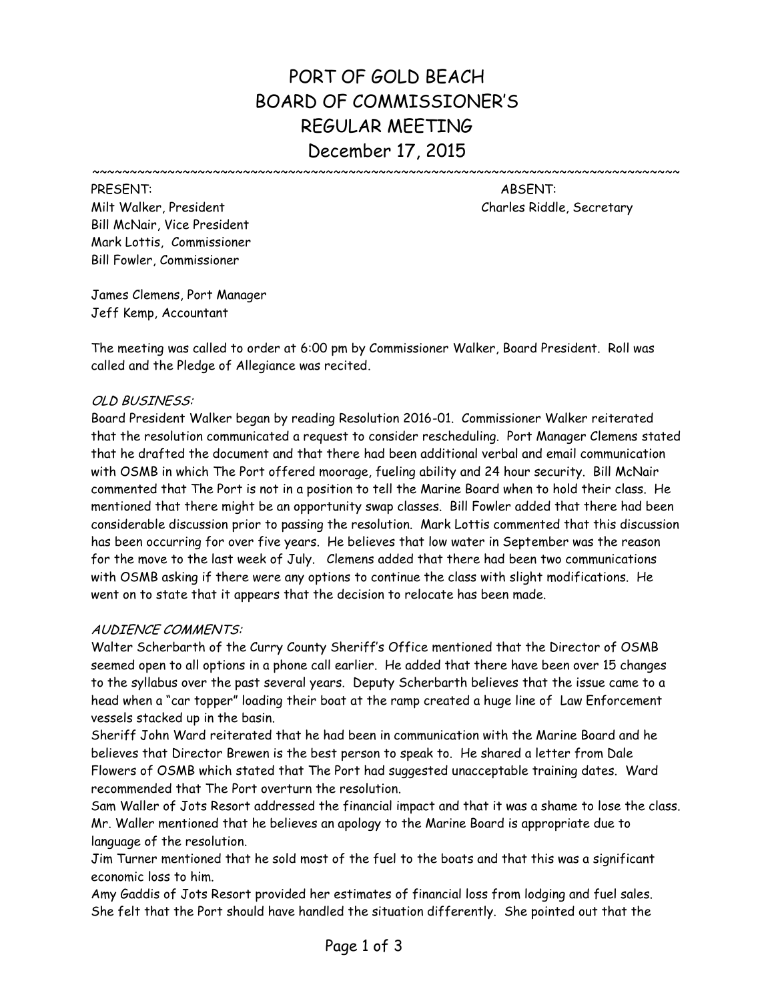# PORT OF GOLD BEACH BOARD OF COMMISSIONER'S REGULAR MEETING December 17, 2015

Milt Walker, President Charles Riddle, Secretary Bill McNair, Vice President Mark Lottis, Commissioner Bill Fowler, Commissioner

PRESENT: ABSENT:

 $~\cdots~$ 

James Clemens, Port Manager Jeff Kemp, Accountant

The meeting was called to order at 6:00 pm by Commissioner Walker, Board President. Roll was called and the Pledge of Allegiance was recited.

# OLD BUSINESS:

Board President Walker began by reading Resolution 2016-01. Commissioner Walker reiterated that the resolution communicated a request to consider rescheduling. Port Manager Clemens stated that he drafted the document and that there had been additional verbal and email communication with OSMB in which The Port offered moorage, fueling ability and 24 hour security. Bill McNair commented that The Port is not in a position to tell the Marine Board when to hold their class. He mentioned that there might be an opportunity swap classes. Bill Fowler added that there had been considerable discussion prior to passing the resolution. Mark Lottis commented that this discussion has been occurring for over five years. He believes that low water in September was the reason for the move to the last week of July. Clemens added that there had been two communications with OSMB asking if there were any options to continue the class with slight modifications. He went on to state that it appears that the decision to relocate has been made.

# AUDIENCE COMMENTS:

Walter Scherbarth of the Curry County Sheriff's Office mentioned that the Director of OSMB seemed open to all options in a phone call earlier. He added that there have been over 15 changes to the syllabus over the past several years. Deputy Scherbarth believes that the issue came to a head when a "car topper" loading their boat at the ramp created a huge line of Law Enforcement vessels stacked up in the basin.

Sheriff John Ward reiterated that he had been in communication with the Marine Board and he believes that Director Brewen is the best person to speak to. He shared a letter from Dale Flowers of OSMB which stated that The Port had suggested unacceptable training dates. Ward recommended that The Port overturn the resolution.

Sam Waller of Jots Resort addressed the financial impact and that it was a shame to lose the class. Mr. Waller mentioned that he believes an apology to the Marine Board is appropriate due to language of the resolution.

Jim Turner mentioned that he sold most of the fuel to the boats and that this was a significant economic loss to him.

Amy Gaddis of Jots Resort provided her estimates of financial loss from lodging and fuel sales. She felt that the Port should have handled the situation differently. She pointed out that the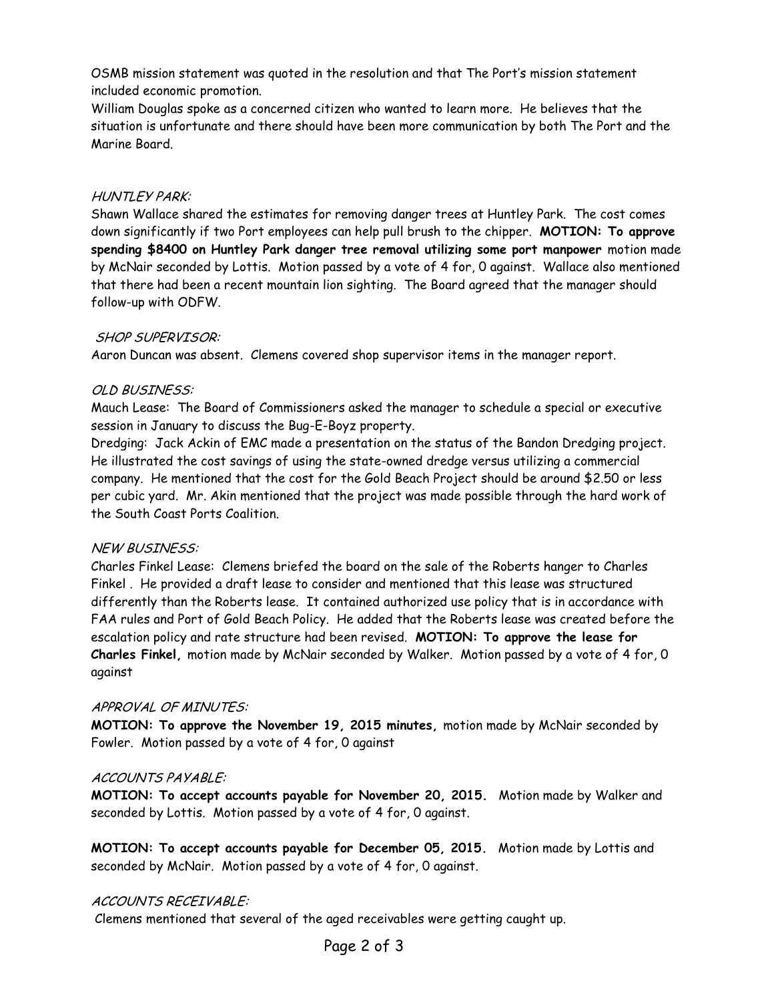OSMB mission statement was quoted in the resolution and that The Port's mission statement included economic promotion.

William Douglas spoke as a concerned citizen who wanted to learn more. He believes that the situation is unfortunate and there should have been more communication by both The Port and the Marine Board.

# HUNTLEY PARK:

Shawn Wallace shared the estimates for removing danger trees at Huntley Park. The cost comes down significantly if two Port employees can help pull brush to the chipper. **MOTION: To approve spending \$8400 on Huntley Park danger tree removal utilizing some port manpower** motion made by McNair seconded by Lottis. Motion passed by a vote of 4 for, 0 against. Wallace also mentioned that there had been a recent mountain lion sighting. The Board agreed that the manager should follow-up with ODFW.

# SHOP SUPERVISOR:

Aaron Duncan was absent. Clemens covered shop supervisor items in the manager report.

# OLD BUSINESS:

Mauch Lease: The Board of Commissioners asked the manager to schedule a special or executive session in January to discuss the Bug-E-Boyz property.

Dredging: Jack Ackin of EMC made a presentation on the status of the Bandon Dredging project. He illustrated the cost savings of using the state-owned dredge versus utilizing a commercial company. He mentioned that the cost for the Gold Beach Project should be around \$2.50 or less per cubic yard. Mr. Akin mentioned that the project was made possible through the hard work of the South Coast Ports Coalition.

# NEW BUSINESS:

Charles Finkel Lease: Clemens briefed the board on the sale of the Roberts hanger to Charles Finkel . He provided a draft lease to consider and mentioned that this lease was structured differently than the Roberts lease. It contained authorized use policy that is in accordance with FAA rules and Port of Gold Beach Policy. He added that the Roberts lease was created before the escalation policy and rate structure had been revised. **MOTION: To approve the lease for Charles Finkel,** motion made by McNair seconded by Walker. Motion passed by a vote of 4 for, 0 against

### APPROVAL OF MINUTES:

**MOTION: To approve the November 19, 2015 minutes,** motion made by McNair seconded by Fowler. Motion passed by a vote of 4 for, 0 against

### ACCOUNTS PAYABLE:

**MOTION: To accept accounts payable for November 20, 2015.** Motion made by Walker and seconded by Lottis. Motion passed by a vote of 4 for, 0 against.

**MOTION: To accept accounts payable for December 05, 2015.** Motion made by Lottis and seconded by McNair. Motion passed by a vote of 4 for, 0 against.

# ACCOUNTS RECEIVABLE:

Clemens mentioned that several of the aged receivables were getting caught up.